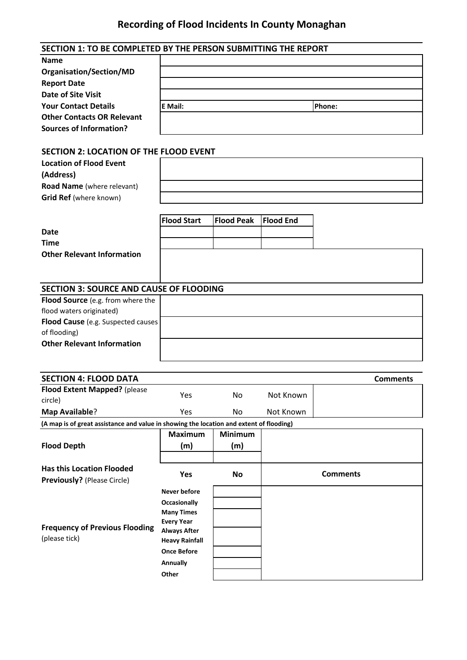## **Recording of Flood Incidents In County Monaghan**

| SECTION 1: TO BE COMPLETED BY THE PERSON SUBMITTING THE REPORT                          |                                          |                   |                  |                 |                 |
|-----------------------------------------------------------------------------------------|------------------------------------------|-------------------|------------------|-----------------|-----------------|
| <b>Name</b>                                                                             |                                          |                   |                  |                 |                 |
| Organisation/Section/MD                                                                 |                                          |                   |                  |                 |                 |
| <b>Report Date</b>                                                                      |                                          |                   |                  |                 |                 |
| <b>Date of Site Visit</b>                                                               |                                          |                   |                  |                 |                 |
| <b>Your Contact Details</b>                                                             | E Mail:                                  |                   |                  | Phone:          |                 |
| <b>Other Contacts OR Relevant</b>                                                       |                                          |                   |                  |                 |                 |
| <b>Sources of Information?</b>                                                          |                                          |                   |                  |                 |                 |
|                                                                                         |                                          |                   |                  |                 |                 |
| <b>SECTION 2: LOCATION OF THE FLOOD EVENT</b>                                           |                                          |                   |                  |                 |                 |
| <b>Location of Flood Event</b>                                                          |                                          |                   |                  |                 |                 |
| (Address)                                                                               |                                          |                   |                  |                 |                 |
| Road Name (where relevant)                                                              |                                          |                   |                  |                 |                 |
| Grid Ref (where known)                                                                  |                                          |                   |                  |                 |                 |
|                                                                                         |                                          |                   |                  |                 |                 |
|                                                                                         | <b>Flood Start</b>                       | <b>Flood Peak</b> | <b>Flood End</b> |                 |                 |
| <b>Date</b>                                                                             |                                          |                   |                  |                 |                 |
| <b>Time</b>                                                                             |                                          |                   |                  |                 |                 |
| <b>Other Relevant Information</b>                                                       |                                          |                   |                  |                 |                 |
|                                                                                         |                                          |                   |                  |                 |                 |
|                                                                                         |                                          |                   |                  |                 |                 |
| <b>SECTION 3: SOURCE AND CAUSE OF FLOODING</b>                                          |                                          |                   |                  |                 |                 |
| Flood Source (e.g. from where the                                                       |                                          |                   |                  |                 |                 |
| flood waters originated)                                                                |                                          |                   |                  |                 |                 |
| Flood Cause (e.g. Suspected causes                                                      |                                          |                   |                  |                 |                 |
| of flooding)                                                                            |                                          |                   |                  |                 |                 |
| <b>Other Relevant Information</b>                                                       |                                          |                   |                  |                 |                 |
|                                                                                         |                                          |                   |                  |                 |                 |
| <b>SECTION 4: FLOOD DATA</b>                                                            |                                          |                   |                  |                 | <b>Comments</b> |
| Flood Extent Mapped? (please                                                            |                                          |                   |                  |                 |                 |
| circle)                                                                                 | Yes                                      | No                | Not Known        |                 |                 |
| <b>Map Available?</b>                                                                   | Yes                                      | No                | Not Known        |                 |                 |
| (A map is of great assistance and value in showing the location and extent of flooding) |                                          |                   |                  |                 |                 |
|                                                                                         | <b>Maximum</b>                           | <b>Minimum</b>    |                  |                 |                 |
| <b>Flood Depth</b>                                                                      | (m)                                      | (m)               |                  |                 |                 |
|                                                                                         |                                          |                   |                  |                 |                 |
| <b>Has this Location Flooded</b>                                                        | Yes                                      | <b>No</b>         |                  | <b>Comments</b> |                 |
| <b>Previously?</b> (Please Circle)                                                      |                                          |                   |                  |                 |                 |
|                                                                                         | <b>Never before</b>                      |                   |                  |                 |                 |
|                                                                                         | <b>Occasionally</b>                      |                   |                  |                 |                 |
|                                                                                         | <b>Many Times</b>                        |                   |                  |                 |                 |
| <b>Frequency of Previous Flooding</b>                                                   | <b>Every Year</b><br><b>Always After</b> |                   |                  |                 |                 |
| (please tick)                                                                           | <b>Heavy Rainfall</b>                    |                   |                  |                 |                 |
|                                                                                         | <b>Once Before</b>                       |                   |                  |                 |                 |
|                                                                                         | Annually                                 |                   |                  |                 |                 |
|                                                                                         | Other                                    |                   |                  |                 |                 |